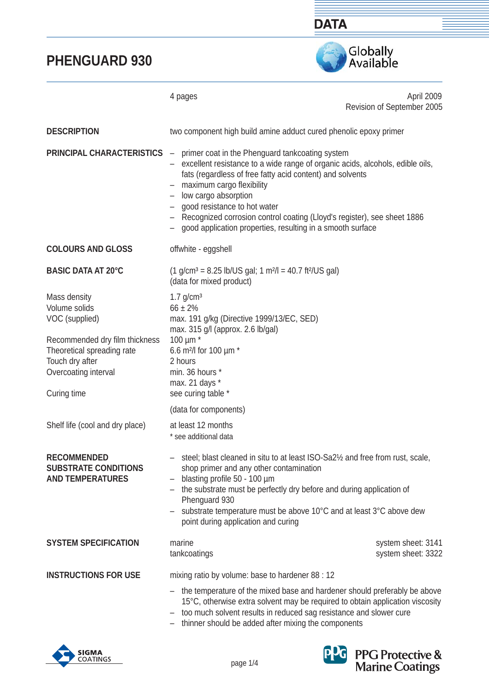



|                                                                                                                        | 4 pages                                                                                                                                                                                                                                                                                                                                                                                                                                                                                 | April 2009<br>Revision of September 2005 |  |
|------------------------------------------------------------------------------------------------------------------------|-----------------------------------------------------------------------------------------------------------------------------------------------------------------------------------------------------------------------------------------------------------------------------------------------------------------------------------------------------------------------------------------------------------------------------------------------------------------------------------------|------------------------------------------|--|
| <b>DESCRIPTION</b>                                                                                                     | two component high build amine adduct cured phenolic epoxy primer                                                                                                                                                                                                                                                                                                                                                                                                                       |                                          |  |
| <b>PRINCIPAL CHARACTERISTICS</b>                                                                                       | primer coat in the Phenguard tankcoating system<br>$\overline{\phantom{m}}$<br>excellent resistance to a wide range of organic acids, alcohols, edible oils,<br>fats (regardless of free fatty acid content) and solvents<br>- maximum cargo flexibility<br>low cargo absorption<br>- good resistance to hot water<br>Recognized corrosion control coating (Lloyd's register), see sheet 1886<br>$\overline{\phantom{0}}$<br>good application properties, resulting in a smooth surface |                                          |  |
| <b>COLOURS AND GLOSS</b>                                                                                               | offwhite - eggshell                                                                                                                                                                                                                                                                                                                                                                                                                                                                     |                                          |  |
| <b>BASIC DATA AT 20°C</b>                                                                                              | $(1 \text{ g/cm}^3 = 8.25 \text{ lb/US gal}; 1 \text{ m}^2/\text{J} = 40.7 \text{ ft}^2/\text{US gal})$<br>(data for mixed product)                                                                                                                                                                                                                                                                                                                                                     |                                          |  |
| Mass density<br>Volume solids<br>VOC (supplied)                                                                        | $1.7$ g/cm <sup>3</sup><br>$66 \pm 2\%$<br>max. 191 g/kg (Directive 1999/13/EC, SED)<br>max. 315 g/l (approx. 2.6 lb/gal)<br>100 $\mu$ m $*$<br>6.6 m <sup>2</sup> /l for 100 µm *<br>2 hours<br>min. 36 hours *<br>max. 21 days *<br>see curing table *                                                                                                                                                                                                                                |                                          |  |
| Recommended dry film thickness<br>Theoretical spreading rate<br>Touch dry after<br>Overcoating interval<br>Curing time |                                                                                                                                                                                                                                                                                                                                                                                                                                                                                         |                                          |  |
|                                                                                                                        | (data for components)                                                                                                                                                                                                                                                                                                                                                                                                                                                                   |                                          |  |
| Shelf life (cool and dry place)                                                                                        | at least 12 months<br>* see additional data                                                                                                                                                                                                                                                                                                                                                                                                                                             |                                          |  |
| <b>RECOMMENDED</b><br><b>SUBSTRATE CONDITIONS</b><br><b>AND TEMPERATURES</b>                                           | steel; blast cleaned in situ to at least ISO-Sa2 <sup>1</sup> / <sub>2</sub> and free from rust, scale,<br>shop primer and any other contamination<br>blasting profile 50 - 100 µm<br>$\qquad \qquad -$<br>the substrate must be perfectly dry before and during application of<br>$-$<br>Phenguard 930<br>substrate temperature must be above 10°C and at least 3°C above dew<br>point during application and curing                                                                   |                                          |  |
| <b>SYSTEM SPECIFICATION</b>                                                                                            | marine<br>tankcoatings                                                                                                                                                                                                                                                                                                                                                                                                                                                                  | system sheet: 3141<br>system sheet: 3322 |  |
| <b>INSTRUCTIONS FOR USE</b>                                                                                            | mixing ratio by volume: base to hardener 88 : 12                                                                                                                                                                                                                                                                                                                                                                                                                                        |                                          |  |
|                                                                                                                        | the temperature of the mixed base and hardener should preferably be above<br>15°C, otherwise extra solvent may be required to obtain application viscosity<br>too much solvent results in reduced sag resistance and slower cure<br>$\qquad \qquad -$<br>thinner should be added after mixing the components                                                                                                                                                                            |                                          |  |



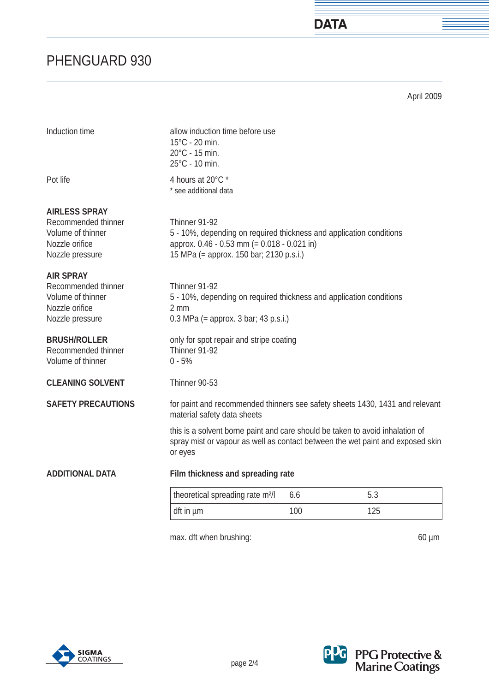April 2009

**DATA** 

| Induction time                                                                                        | allow induction time before use<br>15°C - 20 min.<br>20°C - 15 min.<br>25°C - 10 min.                                                                                          |     |     |
|-------------------------------------------------------------------------------------------------------|--------------------------------------------------------------------------------------------------------------------------------------------------------------------------------|-----|-----|
| Pot life                                                                                              | 4 hours at 20°C *<br>* see additional data                                                                                                                                     |     |     |
| <b>AIRLESS SPRAY</b><br>Recommended thinner<br>Volume of thinner<br>Nozzle orifice<br>Nozzle pressure | Thinner 91-92<br>5 - 10%, depending on required thickness and application conditions<br>approx. 0.46 - 0.53 mm (= 0.018 - 0.021 in)<br>15 MPa (= approx. 150 bar; 2130 p.s.i.) |     |     |
| <b>AIR SPRAY</b><br>Recommended thinner<br>Volume of thinner<br>Nozzle orifice<br>Nozzle pressure     | Thinner 91-92<br>5 - 10%, depending on required thickness and application conditions<br>2 mm<br>$0.3$ MPa (= approx. 3 bar; 43 p.s.i.)                                         |     |     |
| <b>BRUSH/ROLLER</b><br>Recommended thinner<br>Volume of thinner                                       | only for spot repair and stripe coating<br>Thinner 91-92<br>$0 - 5%$                                                                                                           |     |     |
| <b>CLEANING SOLVENT</b>                                                                               | Thinner 90-53                                                                                                                                                                  |     |     |
| <b>SAFETY PRECAUTIONS</b>                                                                             | for paint and recommended thinners see safety sheets 1430, 1431 and relevant<br>material safety data sheets                                                                    |     |     |
|                                                                                                       | this is a solvent borne paint and care should be taken to avoid inhalation of<br>spray mist or vapour as well as contact between the wet paint and exposed skin<br>or eyes     |     |     |
| <b>ADDITIONAL DATA</b>                                                                                | Film thickness and spreading rate                                                                                                                                              |     |     |
|                                                                                                       | theoretical spreading rate m <sup>2</sup> /l                                                                                                                                   | 6.6 | 5.3 |
|                                                                                                       | dft in um                                                                                                                                                                      | 100 | 125 |

max. dft when brushing: 60 µm





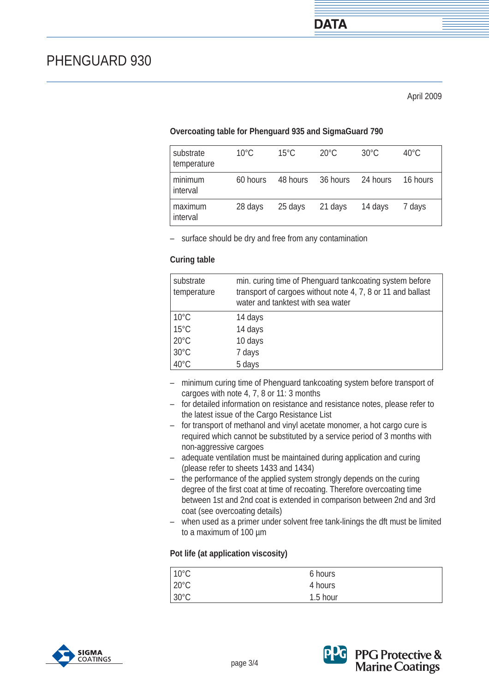### **Overcoating table for Phenguard 935 and SigmaGuard 790**

| substrate<br>temperature | $10^{\circ}$ C | $15^{\circ}$ C | $20^{\circ}$ C | $30^{\circ}$ C | $40^{\circ}$ C |
|--------------------------|----------------|----------------|----------------|----------------|----------------|
| minimum<br>interval      | 60 hours       | 48 hours       | 36 hours       | 24 hours       | 16 hours       |
| maximum<br>interval      | 28 days        | 25 days        | 21 days        | 14 days        | 7 days         |

– surface should be dry and free from any contamination

#### **Curing table**

| substrate<br>temperature | min. curing time of Phenguard tankcoating system before<br>transport of cargoes without note 4, 7, 8 or 11 and ballast<br>water and tanktest with sea water |
|--------------------------|-------------------------------------------------------------------------------------------------------------------------------------------------------------|
| $10^{\circ}$ C           | 14 days                                                                                                                                                     |
| $15^{\circ}$ C           | 14 days                                                                                                                                                     |
| $20^{\circ}$ C           | 10 days                                                                                                                                                     |
| $30^{\circ}$ C           | 7 days                                                                                                                                                      |
| 40°C                     | 5 days                                                                                                                                                      |

- minimum curing time of Phenguard tankcoating system before transport of cargoes with note 4, 7, 8 or 11: 3 months
- for detailed information on resistance and resistance notes, please refer to the latest issue of the Cargo Resistance List
- for transport of methanol and vinyl acetate monomer, a hot cargo cure is required which cannot be substituted by a service period of 3 months with non-aggressive cargoes
- adequate ventilation must be maintained during application and curing (please refer to sheets 1433 and 1434)
- the performance of the applied system strongly depends on the curing degree of the first coat at time of recoating. Therefore overcoating time between 1st and 2nd coat is extended in comparison between 2nd and 3rd coat (see overcoating details)
- when used as a primer under solvent free tank-linings the dft must be limited to a maximum of 100 µm

#### **Pot life (at application viscosity)**

| $10^{\circ}$ C | 6 hours  |  |
|----------------|----------|--|
| $20^{\circ}$ C | 4 hours  |  |
| $30^{\circ}$ C | 1.5 hour |  |